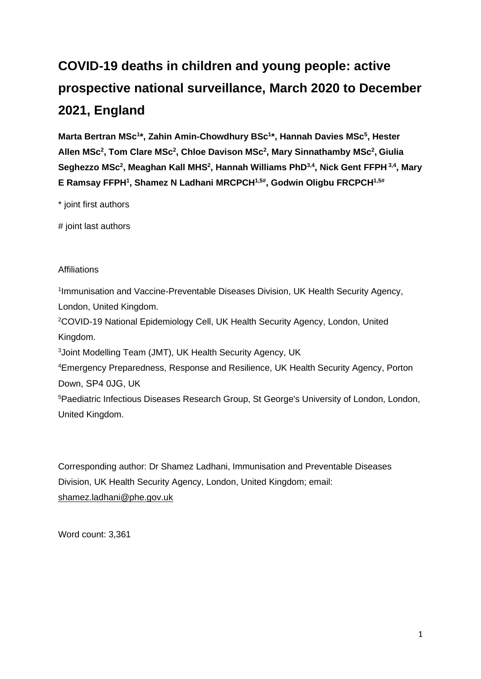# **COVID-19 deaths in children and young people: active prospective national surveillance, March 2020 to December 2021, England**

**Marta Bertran MSc<sup>1</sup> \*, Zahin Amin-Chowdhury BSc<sup>1</sup> \*, Hannah Davies MSc<sup>5</sup> , Hester Allen MSc<sup>2</sup> , Tom Clare MSc<sup>2</sup> , Chloe Davison MSc<sup>2</sup> , Mary Sinnathamby MSc<sup>2</sup> , Giulia Seghezzo MSc<sup>2</sup> , Meaghan Kall MHS<sup>2</sup> , Hannah Williams PhD3,4, Nick Gent FFPH 3,4 , Mary E Ramsay FFPH<sup>1</sup> , Shamez N Ladhani MRCPCH1,5# , Godwin Oligbu FRCPCH1,5#**

\* joint first authors

# joint last authors

# **Affiliations**

<sup>1</sup> Immunisation and Vaccine-Preventable Diseases Division, UK Health Security Agency, London, United Kingdom.

<sup>2</sup>COVID-19 National Epidemiology Cell, UK Health Security Agency, London, United Kingdom.

<sup>3</sup>Joint Modelling Team (JMT), UK Health Security Agency, UK

<sup>4</sup>Emergency Preparedness, Response and Resilience, UK Health Security Agency, Porton Down, SP4 0JG, UK

<sup>5</sup>Paediatric Infectious Diseases Research Group, St George's University of London, London, United Kingdom.

Corresponding author: Dr Shamez Ladhani, Immunisation and Preventable Diseases Division, UK Health Security Agency, London, United Kingdom; email: [shamez.ladhani@phe.gov.uk](mailto:shamez.ladhani@phe.gov.uk)

Word count: 3,361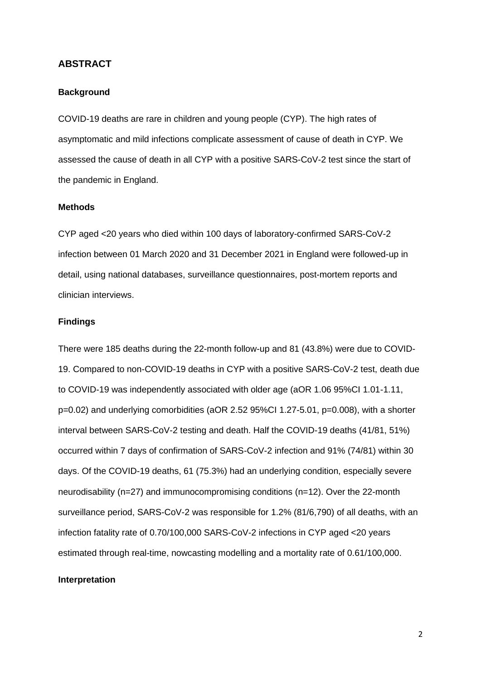#### **ABSTRACT**

#### **Background**

COVID-19 deaths are rare in children and young people (CYP). The high rates of asymptomatic and mild infections complicate assessment of cause of death in CYP. We assessed the cause of death in all CYP with a positive SARS-CoV-2 test since the start of the pandemic in England.

#### **Methods**

CYP aged <20 years who died within 100 days of laboratory-confirmed SARS-CoV-2 infection between 01 March 2020 and 31 December 2021 in England were followed-up in detail, using national databases, surveillance questionnaires, post-mortem reports and clinician interviews.

#### **Findings**

There were 185 deaths during the 22-month follow-up and 81 (43.8%) were due to COVID-19. Compared to non-COVID-19 deaths in CYP with a positive SARS-CoV-2 test, death due to COVID-19 was independently associated with older age (aOR 1.06 95%CI 1.01-1.11, p=0.02) and underlying comorbidities (aOR 2.52 95%CI 1.27-5.01, p=0.008), with a shorter interval between SARS-CoV-2 testing and death. Half the COVID-19 deaths (41/81, 51%) occurred within 7 days of confirmation of SARS-CoV-2 infection and 91% (74/81) within 30 days. Of the COVID-19 deaths, 61 (75.3%) had an underlying condition, especially severe neurodisability (n=27) and immunocompromising conditions (n=12). Over the 22-month surveillance period, SARS-CoV-2 was responsible for 1.2% (81/6,790) of all deaths, with an infection fatality rate of 0.70/100,000 SARS-CoV-2 infections in CYP aged <20 years estimated through real-time, nowcasting modelling and a mortality rate of 0.61/100,000.

#### **Interpretation**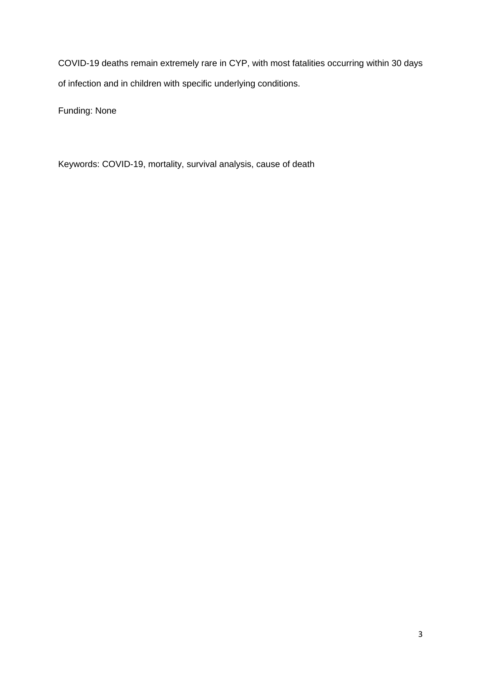COVID-19 deaths remain extremely rare in CYP, with most fatalities occurring within 30 days of infection and in children with specific underlying conditions.

Funding: None

Keywords: COVID-19, mortality, survival analysis, cause of death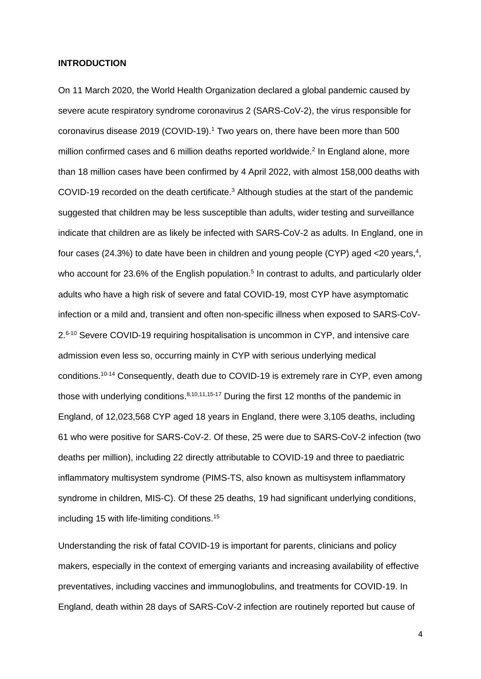#### **INTRODUCTION**

On 11 March 2020, the World Health Organization declared a global pandemic caused by severe acute respiratory syndrome coronavirus 2 (SARS-CoV-2), the virus responsible for coronavirus disease 2019 (COVID-19). <sup>1</sup> Two years on, there have been more than 500 million confirmed cases and 6 million deaths reported worldwide.<sup>2</sup> In England alone, more than 18 million cases have been confirmed by 4 April 2022, with almost 158,000 deaths with COVID-19 recorded on the death certificate.<sup>3</sup> Although studies at the start of the pandemic suggested that children may be less susceptible than adults, wider testing and surveillance indicate that children are as likely be infected with SARS-CoV-2 as adults. In England, one in four cases (24.3%) to date have been in children and young people (CYP) aged <20 years,<sup>4</sup>, who account for 23.6% of the English population.<sup>5</sup> In contrast to adults, and particularly older adults who have a high risk of severe and fatal COVID-19, most CYP have asymptomatic infection or a mild and, transient and often non-specific illness when exposed to SARS-CoV-2.<sup>6-10</sup> Severe COVID-19 requiring hospitalisation is uncommon in CYP, and intensive care admission even less so, occurring mainly in CYP with serious underlying medical conditions. 10-14 Consequently, death due to COVID-19 is extremely rare in CYP, even among those with underlying conditions. $8,10,11,15-17$  During the first 12 months of the pandemic in England, of 12,023,568 CYP aged 18 years in England, there were 3,105 deaths, including 61 who were positive for SARS-CoV-2. Of these, 25 were due to SARS-CoV-2 infection (two deaths per million), including 22 directly attributable to COVID-19 and three to paediatric inflammatory multisystem syndrome (PIMS-TS, also known as multisystem inflammatory syndrome in children, MIS-C). Of these 25 deaths, 19 had significant underlying conditions, including 15 with life-limiting conditions. 15

Understanding the risk of fatal COVID-19 is important for parents, clinicians and policy makers, especially in the context of emerging variants and increasing availability of effective preventatives, including vaccines and immunoglobulins, and treatments for COVID-19. In England, death within 28 days of SARS-CoV-2 infection are routinely reported but cause of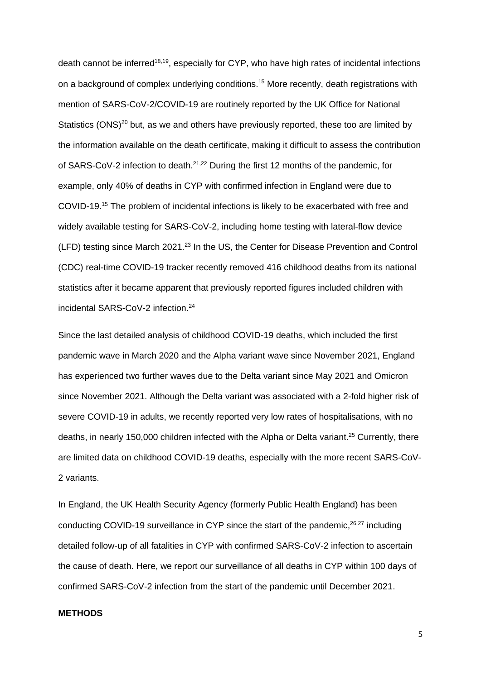death cannot be inferred<sup>18,19</sup>, especially for CYP, who have high rates of incidental infections on a background of complex underlying conditions. <sup>15</sup> More recently, death registrations with mention of SARS-CoV-2/COVID-19 are routinely reported by the UK Office for National Statistics (ONS)<sup>20</sup> but, as we and others have previously reported, these too are limited by the information available on the death certificate, making it difficult to assess the contribution of SARS-CoV-2 infection to death.<sup>21,22</sup> During the first 12 months of the pandemic, for example, only 40% of deaths in CYP with confirmed infection in England were due to COVID-19. <sup>15</sup> The problem of incidental infections is likely to be exacerbated with free and widely available testing for SARS-CoV-2, including home testing with lateral-flow device (LFD) testing since March 2021.<sup>23</sup> In the US, the Center for Disease Prevention and Control (CDC) real-time COVID-19 tracker recently removed 416 childhood deaths from its national statistics after it became apparent that previously reported figures included children with incidental SARS-CoV-2 infection. 24

Since the last detailed analysis of childhood COVID-19 deaths, which included the first pandemic wave in March 2020 and the Alpha variant wave since November 2021, England has experienced two further waves due to the Delta variant since May 2021 and Omicron since November 2021. Although the Delta variant was associated with a 2-fold higher risk of severe COVID-19 in adults, we recently reported very low rates of hospitalisations, with no deaths, in nearly 150,000 children infected with the Alpha or Delta variant. <sup>25</sup> Currently, there are limited data on childhood COVID-19 deaths, especially with the more recent SARS-CoV-2 variants.

In England, the UK Health Security Agency (formerly Public Health England) has been conducting COVID-19 surveillance in CYP since the start of the pandemic,<sup>26,27</sup> including detailed follow-up of all fatalities in CYP with confirmed SARS-CoV-2 infection to ascertain the cause of death. Here, we report our surveillance of all deaths in CYP within 100 days of confirmed SARS-CoV-2 infection from the start of the pandemic until December 2021.

#### **METHODS**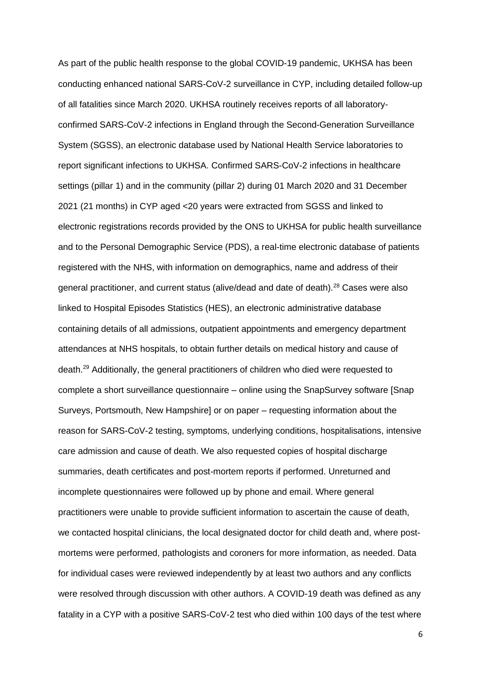As part of the public health response to the global COVID-19 pandemic, UKHSA has been conducting enhanced national SARS-CoV-2 surveillance in CYP, including detailed follow-up of all fatalities since March 2020. UKHSA routinely receives reports of all laboratoryconfirmed SARS-CoV-2 infections in England through the Second-Generation Surveillance System (SGSS), an electronic database used by National Health Service laboratories to report significant infections to UKHSA. Confirmed SARS-CoV-2 infections in healthcare settings (pillar 1) and in the community (pillar 2) during 01 March 2020 and 31 December 2021 (21 months) in CYP aged <20 years were extracted from SGSS and linked to electronic registrations records provided by the ONS to UKHSA for public health surveillance and to the Personal Demographic Service (PDS), a real-time electronic database of patients registered with the NHS, with information on demographics, name and address of their general practitioner, and current status (alive/dead and date of death).<sup>28</sup> Cases were also linked to Hospital Episodes Statistics (HES), an electronic administrative database containing details of all admissions, outpatient appointments and emergency department attendances at NHS hospitals, to obtain further details on medical history and cause of death.<sup>29</sup> Additionally, the general practitioners of children who died were requested to complete a short surveillance questionnaire – online using the SnapSurvey software [Snap Surveys, Portsmouth, New Hampshire] or on paper – requesting information about the reason for SARS-CoV-2 testing, symptoms, underlying conditions, hospitalisations, intensive care admission and cause of death. We also requested copies of hospital discharge summaries, death certificates and post-mortem reports if performed. Unreturned and incomplete questionnaires were followed up by phone and email. Where general practitioners were unable to provide sufficient information to ascertain the cause of death, we contacted hospital clinicians, the local designated doctor for child death and, where postmortems were performed, pathologists and coroners for more information, as needed. Data for individual cases were reviewed independently by at least two authors and any conflicts were resolved through discussion with other authors. A COVID-19 death was defined as any fatality in a CYP with a positive SARS-CoV-2 test who died within 100 days of the test where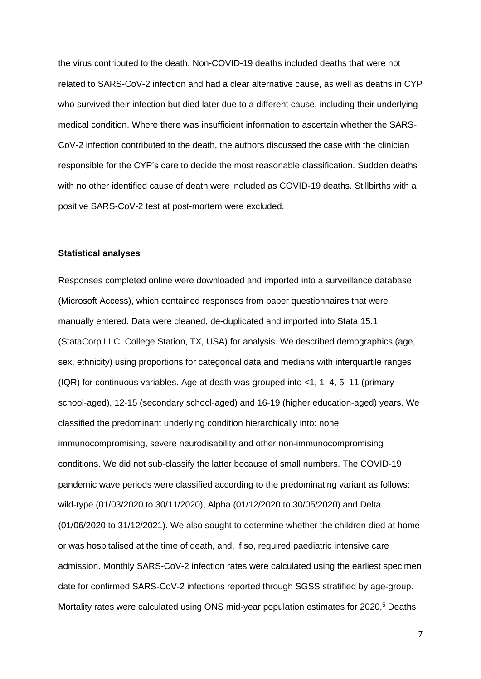the virus contributed to the death. Non-COVID-19 deaths included deaths that were not related to SARS-CoV-2 infection and had a clear alternative cause, as well as deaths in CYP who survived their infection but died later due to a different cause, including their underlying medical condition. Where there was insufficient information to ascertain whether the SARS-CoV-2 infection contributed to the death, the authors discussed the case with the clinician responsible for the CYP's care to decide the most reasonable classification. Sudden deaths with no other identified cause of death were included as COVID-19 deaths. Stillbirths with a positive SARS-CoV-2 test at post-mortem were excluded.

#### **Statistical analyses**

Responses completed online were downloaded and imported into a surveillance database (Microsoft Access), which contained responses from paper questionnaires that were manually entered. Data were cleaned, de-duplicated and imported into Stata 15.1 (StataCorp LLC, College Station, TX, USA) for analysis. We described demographics (age, sex, ethnicity) using proportions for categorical data and medians with interquartile ranges (IQR) for continuous variables. Age at death was grouped into  $<$  1, 1–4, 5–11 (primary school-aged), 12-15 (secondary school-aged) and 16-19 (higher education-aged) years. We classified the predominant underlying condition hierarchically into: none, immunocompromising, severe neurodisability and other non-immunocompromising conditions. We did not sub-classify the latter because of small numbers. The COVID-19 pandemic wave periods were classified according to the predominating variant as follows: wild-type (01/03/2020 to 30/11/2020), Alpha (01/12/2020 to 30/05/2020) and Delta (01/06/2020 to 31/12/2021). We also sought to determine whether the children died at home or was hospitalised at the time of death, and, if so, required paediatric intensive care admission. Monthly SARS-CoV-2 infection rates were calculated using the earliest specimen date for confirmed SARS-CoV-2 infections reported through SGSS stratified by age-group. Mortality rates were calculated using ONS mid-year population estimates for 2020, <sup>5</sup> Deaths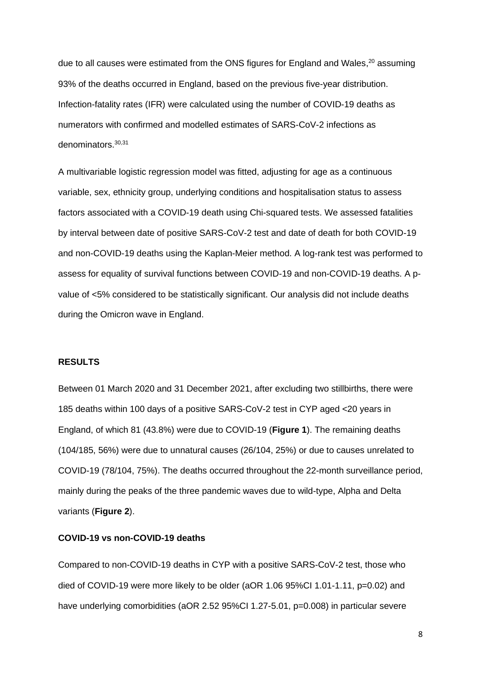due to all causes were estimated from the ONS figures for England and Wales,<sup>20</sup> assuming 93% of the deaths occurred in England, based on the previous five-year distribution. Infection-fatality rates (IFR) were calculated using the number of COVID-19 deaths as numerators with confirmed and modelled estimates of SARS-CoV-2 infections as denominators. 30,31

A multivariable logistic regression model was fitted, adjusting for age as a continuous variable, sex, ethnicity group, underlying conditions and hospitalisation status to assess factors associated with a COVID-19 death using Chi-squared tests. We assessed fatalities by interval between date of positive SARS-CoV-2 test and date of death for both COVID-19 and non-COVID-19 deaths using the Kaplan-Meier method. A log-rank test was performed to assess for equality of survival functions between COVID-19 and non-COVID-19 deaths. A pvalue of <5% considered to be statistically significant. Our analysis did not include deaths during the Omicron wave in England.

#### **RESULTS**

Between 01 March 2020 and 31 December 2021, after excluding two stillbirths, there were 185 deaths within 100 days of a positive SARS-CoV-2 test in CYP aged <20 years in England, of which 81 (43.8%) were due to COVID-19 (**Figure 1**). The remaining deaths (104/185, 56%) were due to unnatural causes (26/104, 25%) or due to causes unrelated to COVID-19 (78/104, 75%). The deaths occurred throughout the 22-month surveillance period, mainly during the peaks of the three pandemic waves due to wild-type, Alpha and Delta variants (**Figure 2**).

### **COVID-19 vs non-COVID-19 deaths**

Compared to non-COVID-19 deaths in CYP with a positive SARS-CoV-2 test, those who died of COVID-19 were more likely to be older (aOR 1.06 95%CI 1.01-1.11, p=0.02) and have underlying comorbidities (aOR 2.52 95%CI 1.27-5.01, p=0.008) in particular severe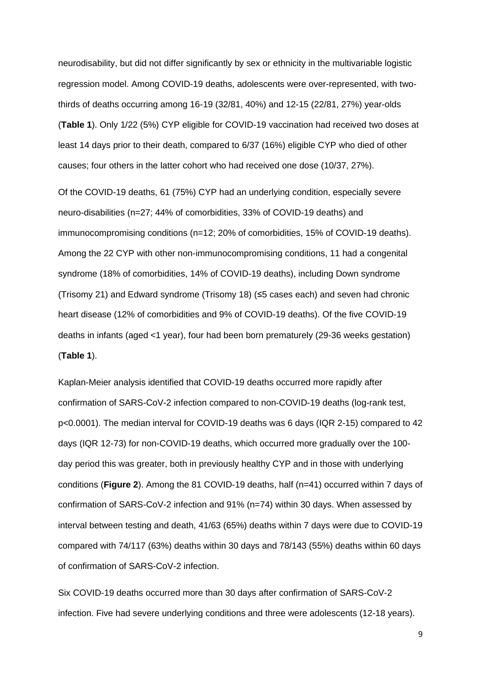neurodisability, but did not differ significantly by sex or ethnicity in the multivariable logistic regression model. Among COVID-19 deaths, adolescents were over-represented, with twothirds of deaths occurring among 16-19 (32/81, 40%) and 12-15 (22/81, 27%) year-olds (**Table 1**). Only 1/22 (5%) CYP eligible for COVID-19 vaccination had received two doses at least 14 days prior to their death, compared to 6/37 (16%) eligible CYP who died of other causes; four others in the latter cohort who had received one dose (10/37, 27%).

Of the COVID-19 deaths, 61 (75%) CYP had an underlying condition, especially severe neuro-disabilities (n=27; 44% of comorbidities, 33% of COVID-19 deaths) and immunocompromising conditions (n=12; 20% of comorbidities, 15% of COVID-19 deaths). Among the 22 CYP with other non-immunocompromising conditions, 11 had a congenital syndrome (18% of comorbidities, 14% of COVID-19 deaths), including Down syndrome (Trisomy 21) and Edward syndrome (Trisomy 18) (≤5 cases each) and seven had chronic heart disease (12% of comorbidities and 9% of COVID-19 deaths). Of the five COVID-19 deaths in infants (aged <1 year), four had been born prematurely (29-36 weeks gestation) (**Table 1**).

Kaplan-Meier analysis identified that COVID-19 deaths occurred more rapidly after confirmation of SARS-CoV-2 infection compared to non-COVID-19 deaths (log-rank test, p<0.0001). The median interval for COVID-19 deaths was 6 days (IQR 2-15) compared to 42 days (IQR 12-73) for non-COVID-19 deaths, which occurred more gradually over the 100 day period this was greater, both in previously healthy CYP and in those with underlying conditions (**Figure 2**). Among the 81 COVID-19 deaths, half (n=41) occurred within 7 days of confirmation of SARS-CoV-2 infection and 91% (n=74) within 30 days. When assessed by interval between testing and death, 41/63 (65%) deaths within 7 days were due to COVID-19 compared with 74/117 (63%) deaths within 30 days and 78/143 (55%) deaths within 60 days of confirmation of SARS-CoV-2 infection.

Six COVID-19 deaths occurred more than 30 days after confirmation of SARS-CoV-2 infection. Five had severe underlying conditions and three were adolescents (12-18 years).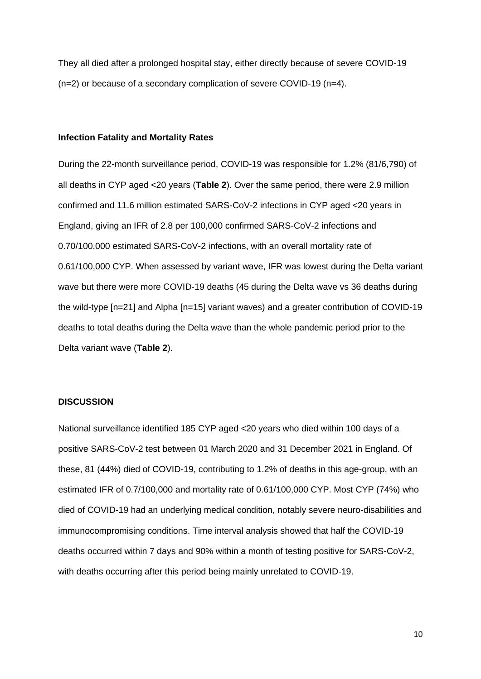They all died after a prolonged hospital stay, either directly because of severe COVID-19 (n=2) or because of a secondary complication of severe COVID-19 (n=4).

#### **Infection Fatality and Mortality Rates**

During the 22-month surveillance period, COVID-19 was responsible for 1.2% (81/6,790) of all deaths in CYP aged <20 years (**Table 2**). Over the same period, there were 2.9 million confirmed and 11.6 million estimated SARS-CoV-2 infections in CYP aged <20 years in England, giving an IFR of 2.8 per 100,000 confirmed SARS-CoV-2 infections and 0.70/100,000 estimated SARS-CoV-2 infections, with an overall mortality rate of 0.61/100,000 CYP. When assessed by variant wave, IFR was lowest during the Delta variant wave but there were more COVID-19 deaths (45 during the Delta wave vs 36 deaths during the wild-type [n=21] and Alpha [n=15] variant waves) and a greater contribution of COVID-19 deaths to total deaths during the Delta wave than the whole pandemic period prior to the Delta variant wave (**Table 2**).

# **DISCUSSION**

National surveillance identified 185 CYP aged <20 years who died within 100 days of a positive SARS-CoV-2 test between 01 March 2020 and 31 December 2021 in England. Of these, 81 (44%) died of COVID-19, contributing to 1.2% of deaths in this age-group, with an estimated IFR of 0.7/100,000 and mortality rate of 0.61/100,000 CYP. Most CYP (74%) who died of COVID-19 had an underlying medical condition, notably severe neuro-disabilities and immunocompromising conditions. Time interval analysis showed that half the COVID-19 deaths occurred within 7 days and 90% within a month of testing positive for SARS-CoV-2, with deaths occurring after this period being mainly unrelated to COVID-19.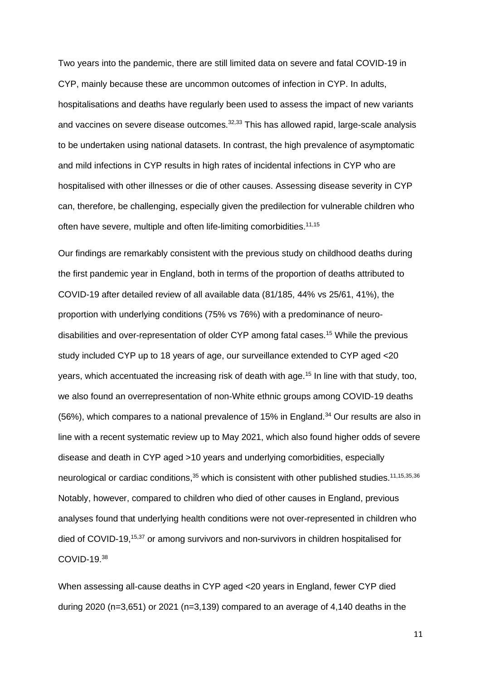Two years into the pandemic, there are still limited data on severe and fatal COVID-19 in CYP, mainly because these are uncommon outcomes of infection in CYP. In adults, hospitalisations and deaths have regularly been used to assess the impact of new variants and vaccines on severe disease outcomes.<sup>32,33</sup> This has allowed rapid, large-scale analysis to be undertaken using national datasets. In contrast, the high prevalence of asymptomatic and mild infections in CYP results in high rates of incidental infections in CYP who are hospitalised with other illnesses or die of other causes. Assessing disease severity in CYP can, therefore, be challenging, especially given the predilection for vulnerable children who often have severe, multiple and often life-limiting comorbidities.<sup>11,15</sup>

Our findings are remarkably consistent with the previous study on childhood deaths during the first pandemic year in England, both in terms of the proportion of deaths attributed to COVID-19 after detailed review of all available data (81/185, 44% vs 25/61, 41%), the proportion with underlying conditions (75% vs 76%) with a predominance of neurodisabilities and over-representation of older CYP among fatal cases.<sup>15</sup> While the previous study included CYP up to 18 years of age, our surveillance extended to CYP aged <20 years, which accentuated the increasing risk of death with age.<sup>15</sup> In line with that study, too, we also found an overrepresentation of non-White ethnic groups among COVID-19 deaths (56%), which compares to a national prevalence of 15% in England.<sup>34</sup> Our results are also in line with a recent systematic review up to May 2021, which also found higher odds of severe disease and death in CYP aged >10 years and underlying comorbidities, especially neurological or cardiac conditions,<sup>35</sup> which is consistent with other published studies.<sup>11,15,35,36</sup> Notably, however, compared to children who died of other causes in England, previous analyses found that underlying health conditions were not over-represented in children who died of COVID-19, 15,37 or among survivors and non-survivors in children hospitalised for COVID-19.<sup>38</sup>

When assessing all-cause deaths in CYP aged <20 years in England, fewer CYP died during 2020 ( $n=3,651$ ) or 2021 ( $n=3,139$ ) compared to an average of 4,140 deaths in the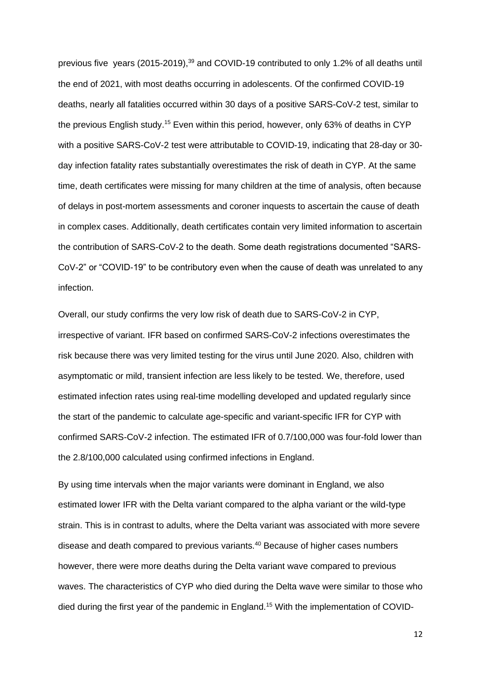previous five years (2015-2019),<sup>39</sup> and COVID-19 contributed to only 1.2% of all deaths until the end of 2021, with most deaths occurring in adolescents. Of the confirmed COVID-19 deaths, nearly all fatalities occurred within 30 days of a positive SARS-CoV-2 test, similar to the previous English study.<sup>15</sup> Even within this period, however, only 63% of deaths in CYP with a positive SARS-CoV-2 test were attributable to COVID-19, indicating that 28-day or 30 day infection fatality rates substantially overestimates the risk of death in CYP. At the same time, death certificates were missing for many children at the time of analysis, often because of delays in post-mortem assessments and coroner inquests to ascertain the cause of death in complex cases. Additionally, death certificates contain very limited information to ascertain the contribution of SARS-CoV-2 to the death. Some death registrations documented "SARS-CoV-2" or "COVID-19" to be contributory even when the cause of death was unrelated to any infection.

Overall, our study confirms the very low risk of death due to SARS-CoV-2 in CYP, irrespective of variant. IFR based on confirmed SARS-CoV-2 infections overestimates the risk because there was very limited testing for the virus until June 2020. Also, children with asymptomatic or mild, transient infection are less likely to be tested. We, therefore, used estimated infection rates using real-time modelling developed and updated regularly since the start of the pandemic to calculate age-specific and variant-specific IFR for CYP with confirmed SARS-CoV-2 infection. The estimated IFR of 0.7/100,000 was four-fold lower than the 2.8/100,000 calculated using confirmed infections in England.

By using time intervals when the major variants were dominant in England, we also estimated lower IFR with the Delta variant compared to the alpha variant or the wild-type strain. This is in contrast to adults, where the Delta variant was associated with more severe disease and death compared to previous variants.<sup>40</sup> Because of higher cases numbers however, there were more deaths during the Delta variant wave compared to previous waves. The characteristics of CYP who died during the Delta wave were similar to those who died during the first year of the pandemic in England.<sup>15</sup> With the implementation of COVID-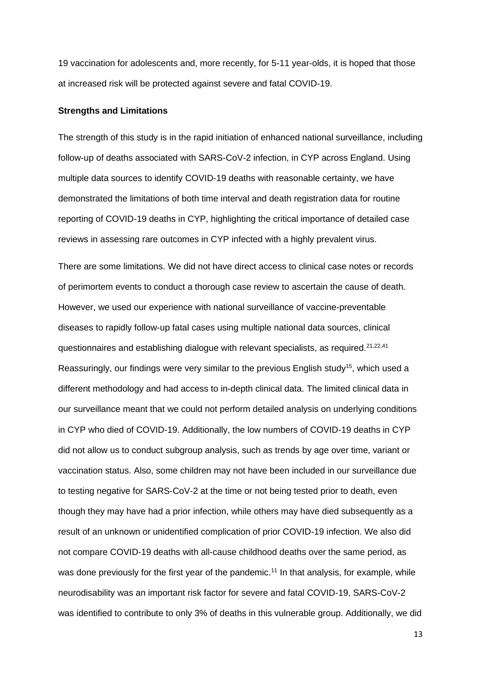19 vaccination for adolescents and, more recently, for 5-11 year-olds, it is hoped that those at increased risk will be protected against severe and fatal COVID-19.

#### **Strengths and Limitations**

The strength of this study is in the rapid initiation of enhanced national surveillance, including follow-up of deaths associated with SARS-CoV-2 infection, in CYP across England. Using multiple data sources to identify COVID-19 deaths with reasonable certainty, we have demonstrated the limitations of both time interval and death registration data for routine reporting of COVID-19 deaths in CYP, highlighting the critical importance of detailed case reviews in assessing rare outcomes in CYP infected with a highly prevalent virus.

There are some limitations. We did not have direct access to clinical case notes or records of perimortem events to conduct a thorough case review to ascertain the cause of death. However, we used our experience with national surveillance of vaccine-preventable diseases to rapidly follow-up fatal cases using multiple national data sources, clinical questionnaires and establishing dialogue with relevant specialists, as required.21,22,41 Reassuringly, our findings were very similar to the previous English study<sup>15</sup>, which used a different methodology and had access to in-depth clinical data. The limited clinical data in our surveillance meant that we could not perform detailed analysis on underlying conditions in CYP who died of COVID-19. Additionally, the low numbers of COVID-19 deaths in CYP did not allow us to conduct subgroup analysis, such as trends by age over time, variant or vaccination status. Also, some children may not have been included in our surveillance due to testing negative for SARS-CoV-2 at the time or not being tested prior to death, even though they may have had a prior infection, while others may have died subsequently as a result of an unknown or unidentified complication of prior COVID-19 infection. We also did not compare COVID-19 deaths with all-cause childhood deaths over the same period, as was done previously for the first year of the pandemic.<sup>11</sup> In that analysis, for example, while neurodisability was an important risk factor for severe and fatal COVID-19, SARS-CoV-2 was identified to contribute to only 3% of deaths in this vulnerable group. Additionally, we did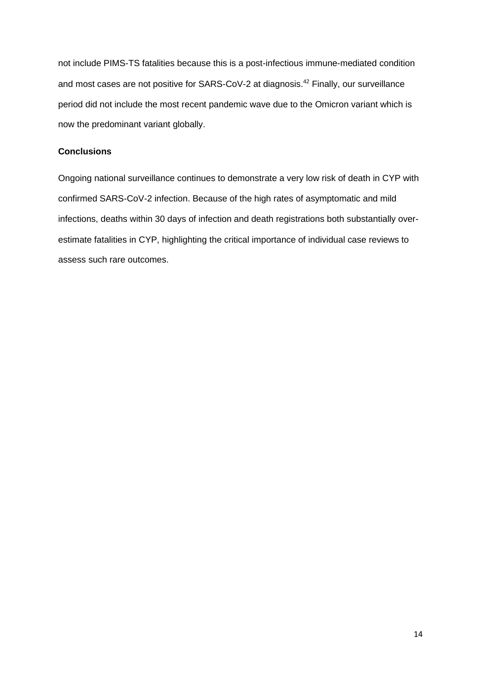not include PIMS-TS fatalities because this is a post-infectious immune-mediated condition and most cases are not positive for SARS-CoV-2 at diagnosis. <sup>42</sup> Finally, our surveillance period did not include the most recent pandemic wave due to the Omicron variant which is now the predominant variant globally.

# **Conclusions**

Ongoing national surveillance continues to demonstrate a very low risk of death in CYP with confirmed SARS-CoV-2 infection. Because of the high rates of asymptomatic and mild infections, deaths within 30 days of infection and death registrations both substantially overestimate fatalities in CYP, highlighting the critical importance of individual case reviews to assess such rare outcomes.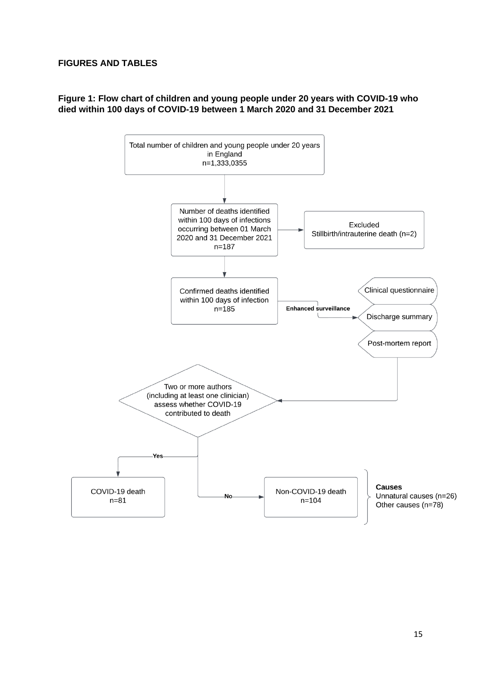# **FIGURES AND TABLES**

# **Figure 1: Flow chart of children and young people under 20 years with COVID-19 who died within 100 days of COVID-19 between 1 March 2020 and 31 December 2021**

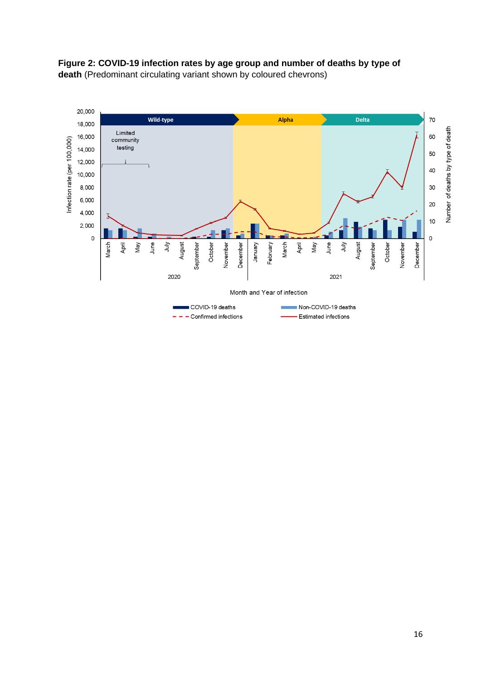

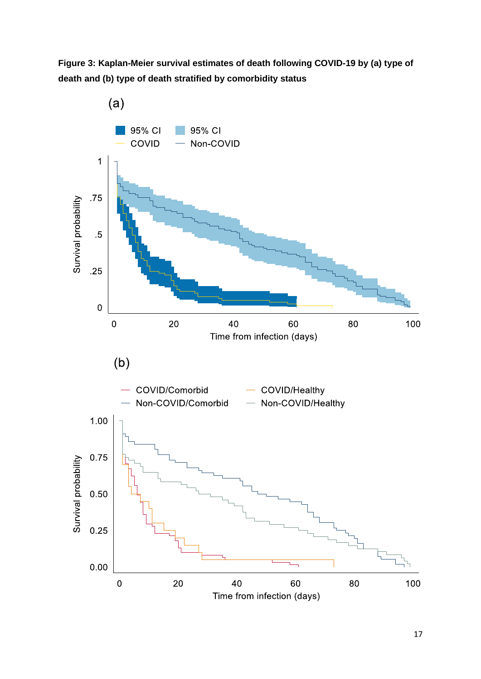**Figure 3: Kaplan-Meier survival estimates of death following COVID-19 by (a) type of death and (b) type of death stratified by comorbidity status**

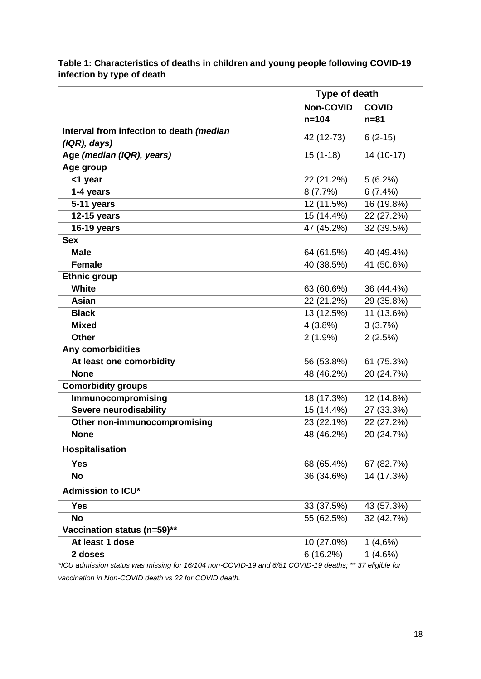|                                          | Type of death    |              |
|------------------------------------------|------------------|--------------|
|                                          | <b>Non-COVID</b> | <b>COVID</b> |
|                                          | $n = 104$        | $n = 81$     |
| Interval from infection to death (median | 42 (12-73)       | $6(2-15)$    |
| $( IQR),$ days)                          |                  |              |
| Age (median (IQR), years)                | $15(1-18)$       | 14 (10-17)   |
| Age group                                |                  |              |
| <1 year                                  | 22 (21.2%)       | 5(6.2%)      |
| 1-4 years                                | 8(7.7%)          | 6(7.4%)      |
| 5-11 years                               | 12 (11.5%)       | 16 (19.8%)   |
| 12-15 years                              | 15 (14.4%)       | 22 (27.2%)   |
| <b>16-19 years</b>                       | 47 (45.2%)       | 32 (39.5%)   |
| <b>Sex</b>                               |                  |              |
| <b>Male</b>                              | 64 (61.5%)       | 40 (49.4%)   |
| <b>Female</b>                            | 40 (38.5%)       | 41 (50.6%)   |
| <b>Ethnic group</b>                      |                  |              |
| <b>White</b>                             | 63 (60.6%)       | 36 (44.4%)   |
| <b>Asian</b>                             | 22 (21.2%)       | 29 (35.8%)   |
| <b>Black</b>                             | 13 (12.5%)       | 11 (13.6%)   |
| <b>Mixed</b>                             | 4(3.8%)          | 3(3.7%)      |
| <b>Other</b>                             | $2(1.9\%)$       | 2(2.5%)      |
| Any comorbidities                        |                  |              |
| At least one comorbidity                 | 56 (53.8%)       | 61 (75.3%)   |
| <b>None</b>                              | 48 (46.2%)       | 20 (24.7%)   |
| <b>Comorbidity groups</b>                |                  |              |
| Immunocompromising                       | 18 (17.3%)       | 12 (14.8%)   |
| Severe neurodisability                   | 15 (14.4%)       | 27 (33.3%)   |
| Other non-immunocompromising             | 23 (22.1%)       | 22 (27.2%)   |
| <b>None</b>                              | 48 (46.2%)       | 20 (24.7%)   |
| Hospitalisation                          |                  |              |
| <b>Yes</b>                               | 68 (65.4%)       | 67 (82.7%)   |
| <b>No</b>                                | 36 (34.6%)       | 14 (17.3%)   |
| <b>Admission to ICU*</b>                 |                  |              |
| <b>Yes</b>                               | 33 (37.5%)       | 43 (57.3%)   |
| <b>No</b>                                | 55 (62.5%)       | 32 (42.7%)   |
| Vaccination status (n=59)**              |                  |              |
| At least 1 dose                          | 10 (27.0%)       | 1(4,6%)      |
| 2 doses                                  | 6(16.2%)         | 1(4.6%)      |

# **Table 1: Characteristics of deaths in children and young people following COVID-19 infection by type of death**

*vaccination in Non-COVID death vs 22 for COVID death.*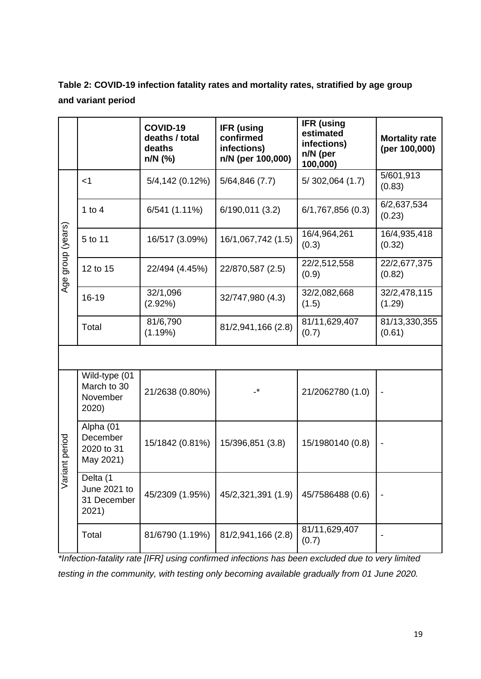| Table 2: COVID-19 infection fatality rates and mortality rates, stratified by age group |
|-----------------------------------------------------------------------------------------|
| and variant period                                                                      |

|                      |                                                   | COVID-19<br>deaths / total<br>deaths<br>n/N (%) | <b>IFR</b> (using<br>confirmed<br>infections)<br>n/N (per 100,000) | <b>IFR (using</b><br>estimated<br>infections)<br>n/N (per<br>100,000) | <b>Mortality rate</b><br>(per 100,000) |  |  |  |
|----------------------|---------------------------------------------------|-------------------------------------------------|--------------------------------------------------------------------|-----------------------------------------------------------------------|----------------------------------------|--|--|--|
| group (years)<br>Age | $<$ 1                                             | 5/4, 142(0.12%)                                 | 5/64,846(7.7)                                                      | 5/302,064(1.7)                                                        | 5/601,913<br>(0.83)                    |  |  |  |
|                      | 1 to $4$                                          | $6/541(1.11\%)$                                 | 6/190,011(3.2)                                                     | 6/1,767,856(0.3)                                                      | 6/2,637,534<br>(0.23)                  |  |  |  |
|                      | 5 to 11                                           | 16/517 (3.09%)                                  | 16/1,067,742 (1.5)                                                 | 16/4,964,261<br>(0.3)                                                 | 16/4,935,418<br>(0.32)                 |  |  |  |
|                      | 12 to 15                                          | 22/494 (4.45%)                                  | 22/870,587 (2.5)                                                   | 22/2,512,558<br>(0.9)                                                 | 22/2,677,375<br>(0.82)                 |  |  |  |
|                      | 16-19                                             | 32/1,096<br>(2.92%)                             | 32/747,980 (4.3)                                                   | 32/2,082,668<br>(1.5)                                                 | 32/2,478,115<br>(1.29)                 |  |  |  |
|                      | Total                                             | 81/6,790<br>(1.19%)                             | 81/2,941,166 (2.8)                                                 | 81/11,629,407<br>(0.7)                                                | 81/13,330,355<br>(0.61)                |  |  |  |
|                      |                                                   |                                                 |                                                                    |                                                                       |                                        |  |  |  |
| riant period<br>్ది  | Wild-type (01<br>March to 30<br>November<br>2020) | 21/2638 (0.80%)                                 | $\cdot^{\star}$                                                    | 21/2062780 (1.0)                                                      |                                        |  |  |  |
|                      | Alpha (01<br>December<br>2020 to 31<br>May 2021)  | 15/1842 (0.81%)                                 | 15/396,851 (3.8)                                                   | 15/1980140 (0.8)                                                      |                                        |  |  |  |
|                      | Delta (1<br>June 2021 to<br>31 December<br>2021)  | 45/2309 (1.95%)                                 | 45/2,321,391 (1.9)                                                 | 45/7586488 (0.6)                                                      |                                        |  |  |  |
|                      | Total                                             | 81/6790 (1.19%)                                 | 81/2,941,166 (2.8)                                                 | 81/11,629,407<br>(0.7)                                                |                                        |  |  |  |

*\*Infection-fatality rate [IFR] using confirmed infections has been excluded due to very limited testing in the community, with testing only becoming available gradually from 01 June 2020.*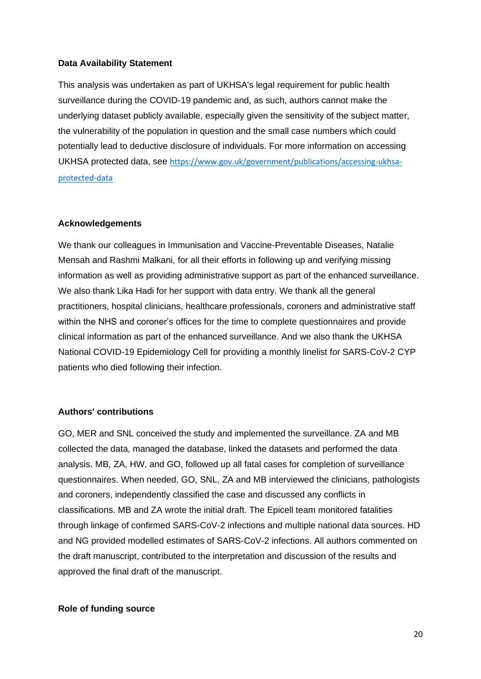#### **Data Availability Statement**

This analysis was undertaken as part of UKHSA's legal requirement for public health surveillance during the COVID-19 pandemic and, as such, authors cannot make the underlying dataset publicly available, especially given the sensitivity of the subject matter, the vulnerability of the population in question and the small case numbers which could potentially lead to deductive disclosure of individuals. For more information on accessing UKHSA protected data, see [https://www.gov.uk/government/publications/accessing-ukhsa](https://www.gov.uk/government/publications/accessing-ukhsa-protected-data)[protected-data](https://www.gov.uk/government/publications/accessing-ukhsa-protected-data)

#### **Acknowledgements**

We thank our colleagues in Immunisation and Vaccine-Preventable Diseases, Natalie Mensah and Rashmi Malkani, for all their efforts in following up and verifying missing information as well as providing administrative support as part of the enhanced surveillance. We also thank Lika Hadi for her support with data entry. We thank all the general practitioners, hospital clinicians, healthcare professionals, coroners and administrative staff within the NHS and coroner's offices for the time to complete questionnaires and provide clinical information as part of the enhanced surveillance. And we also thank the UKHSA National COVID-19 Epidemiology Cell for providing a monthly linelist for SARS-CoV-2 CYP patients who died following their infection.

# **Authors' contributions**

GO, MER and SNL conceived the study and implemented the surveillance. ZA and MB collected the data, managed the database, linked the datasets and performed the data analysis. MB, ZA, HW, and GO, followed up all fatal cases for completion of surveillance questionnaires. When needed, GO, SNL, ZA and MB interviewed the clinicians, pathologists and coroners, independently classified the case and discussed any conflicts in classifications. MB and ZA wrote the initial draft. The Epicell team monitored fatalities through linkage of confirmed SARS-CoV-2 infections and multiple national data sources. HD and NG provided modelled estimates of SARS-CoV-2 infections. All authors commented on the draft manuscript, contributed to the interpretation and discussion of the results and approved the final draft of the manuscript.

#### **Role of funding source**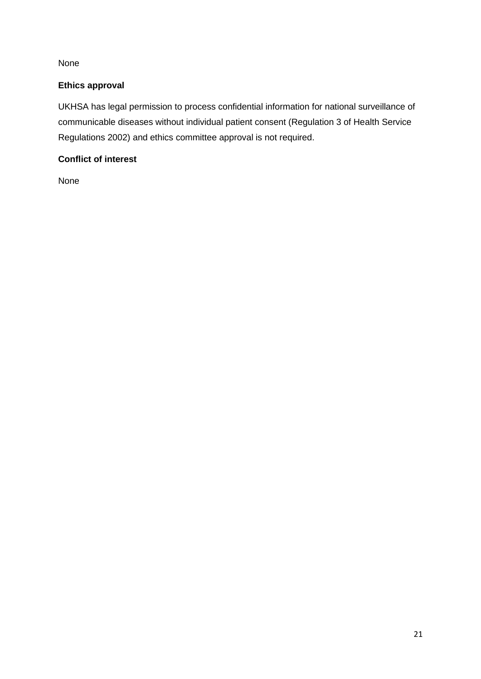None

# **Ethics approval**

UKHSA has legal permission to process confidential information for national surveillance of communicable diseases without individual patient consent (Regulation 3 of Health Service Regulations 2002) and ethics committee approval is not required.

# **Conflict of interest**

None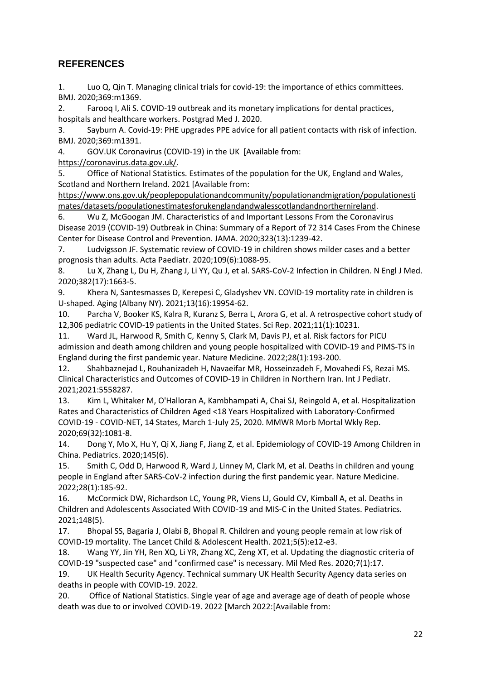# **REFERENCES**

1. Luo Q, Qin T. Managing clinical trials for covid-19: the importance of ethics committees. BMJ. 2020;369:m1369.

2. Farooq I, Ali S. COVID-19 outbreak and its monetary implications for dental practices, hospitals and healthcare workers. Postgrad Med J. 2020.

3. Sayburn A. Covid-19: PHE upgrades PPE advice for all patient contacts with risk of infection. BMJ. 2020;369:m1391.

4. GOV.UK Coronavirus (COVID-19) in the UK [Available from:

[https://coronavirus.data.gov.uk/.](https://coronavirus.data.gov.uk/)

5. Office of National Statistics. Estimates of the population for the UK, England and Wales, Scotland and Northern Ireland. 2021 [Available from:

[https://www.ons.gov.uk/peoplepopulationandcommunity/populationandmigration/populationesti](https://www.ons.gov.uk/peoplepopulationandcommunity/populationandmigration/populationestimates/datasets/populationestimatesforukenglandandwalesscotlandandnorthernireland) [mates/datasets/populationestimatesforukenglandandwalesscotlandandnorthernireland.](https://www.ons.gov.uk/peoplepopulationandcommunity/populationandmigration/populationestimates/datasets/populationestimatesforukenglandandwalesscotlandandnorthernireland)

6. Wu Z, McGoogan JM. Characteristics of and Important Lessons From the Coronavirus Disease 2019 (COVID-19) Outbreak in China: Summary of a Report of 72 314 Cases From the Chinese Center for Disease Control and Prevention. JAMA. 2020;323(13):1239-42.

7. Ludvigsson JF. Systematic review of COVID-19 in children shows milder cases and a better prognosis than adults. Acta Paediatr. 2020;109(6):1088-95.

8. Lu X, Zhang L, Du H, Zhang J, Li YY, Qu J, et al. SARS-CoV-2 Infection in Children. N Engl J Med. 2020;382(17):1663-5.

9. Khera N, Santesmasses D, Kerepesi C, Gladyshev VN. COVID-19 mortality rate in children is U-shaped. Aging (Albany NY). 2021;13(16):19954-62.

10. Parcha V, Booker KS, Kalra R, Kuranz S, Berra L, Arora G, et al. A retrospective cohort study of 12,306 pediatric COVID-19 patients in the United States. Sci Rep. 2021;11(1):10231.

11. Ward JL, Harwood R, Smith C, Kenny S, Clark M, Davis PJ, et al. Risk factors for PICU admission and death among children and young people hospitalized with COVID-19 and PIMS-TS in England during the first pandemic year. Nature Medicine. 2022;28(1):193-200.

12. Shahbaznejad L, Rouhanizadeh H, Navaeifar MR, Hosseinzadeh F, Movahedi FS, Rezai MS. Clinical Characteristics and Outcomes of COVID-19 in Children in Northern Iran. Int J Pediatr. 2021;2021:5558287.

13. Kim L, Whitaker M, O'Halloran A, Kambhampati A, Chai SJ, Reingold A, et al. Hospitalization Rates and Characteristics of Children Aged <18 Years Hospitalized with Laboratory-Confirmed COVID-19 - COVID-NET, 14 States, March 1-July 25, 2020. MMWR Morb Mortal Wkly Rep. 2020;69(32):1081-8.

14. Dong Y, Mo X, Hu Y, Qi X, Jiang F, Jiang Z, et al. Epidemiology of COVID-19 Among Children in China. Pediatrics. 2020;145(6).

15. Smith C, Odd D, Harwood R, Ward J, Linney M, Clark M, et al. Deaths in children and young people in England after SARS-CoV-2 infection during the first pandemic year. Nature Medicine. 2022;28(1):185-92.

16. McCormick DW, Richardson LC, Young PR, Viens LJ, Gould CV, Kimball A, et al. Deaths in Children and Adolescents Associated With COVID-19 and MIS-C in the United States. Pediatrics. 2021;148(5).

17. Bhopal SS, Bagaria J, Olabi B, Bhopal R. Children and young people remain at low risk of COVID-19 mortality. The Lancet Child & Adolescent Health. 2021;5(5):e12-e3.

18. Wang YY, Jin YH, Ren XQ, Li YR, Zhang XC, Zeng XT, et al. Updating the diagnostic criteria of COVID-19 "suspected case" and "confirmed case" is necessary. Mil Med Res. 2020;7(1):17.

19. UK Health Security Agency. Technical summary UK Health Security Agency data series on deaths in people with COVID-19. 2022.

20. Office of National Statistics. Single year of age and average age of death of people whose death was due to or involved COVID-19. 2022 [March 2022:[Available from: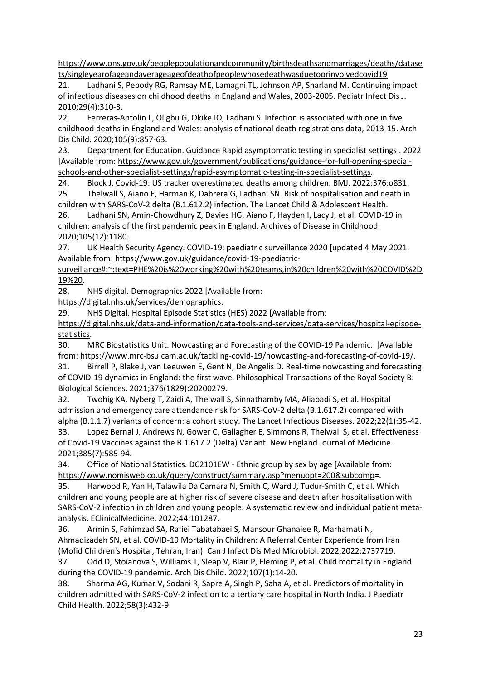[https://www.ons.gov.uk/peoplepopulationandcommunity/birthsdeathsandmarriages/deaths/datase](https://www.ons.gov.uk/peoplepopulationandcommunity/birthsdeathsandmarriages/deaths/datasets/singleyearofageandaverageageofdeathofpeoplewhosedeathwasduetoorinvolvedcovid19) [ts/singleyearofageandaverageageofdeathofpeoplewhosedeathwasduetoorinvolvedcovid19](https://www.ons.gov.uk/peoplepopulationandcommunity/birthsdeathsandmarriages/deaths/datasets/singleyearofageandaverageageofdeathofpeoplewhosedeathwasduetoorinvolvedcovid19)

21. Ladhani S, Pebody RG, Ramsay ME, Lamagni TL, Johnson AP, Sharland M. Continuing impact of infectious diseases on childhood deaths in England and Wales, 2003-2005. Pediatr Infect Dis J. 2010;29(4):310-3.

22. Ferreras-Antolín L, Oligbu G, Okike IO, Ladhani S. Infection is associated with one in five childhood deaths in England and Wales: analysis of national death registrations data, 2013-15. Arch Dis Child. 2020;105(9):857-63.

23. Department for Education. Guidance Rapid asymptomatic testing in specialist settings . 2022 [Available from: [https://www.gov.uk/government/publications/guidance-for-full-opening-special](https://www.gov.uk/government/publications/guidance-for-full-opening-special-schools-and-other-specialist-settings/rapid-asymptomatic-testing-in-specialist-settings)[schools-and-other-specialist-settings/rapid-asymptomatic-testing-in-specialist-settings.](https://www.gov.uk/government/publications/guidance-for-full-opening-special-schools-and-other-specialist-settings/rapid-asymptomatic-testing-in-specialist-settings)

24. Block J. Covid-19: US tracker overestimated deaths among children. BMJ. 2022;376:o831.

25. Thelwall S, Aiano F, Harman K, Dabrera G, Ladhani SN. Risk of hospitalisation and death in children with SARS-CoV-2 delta (B.1.612.2) infection. The Lancet Child & Adolescent Health.

26. Ladhani SN, Amin-Chowdhury Z, Davies HG, Aiano F, Hayden I, Lacy J, et al. COVID-19 in children: analysis of the first pandemic peak in England. Archives of Disease in Childhood. 2020;105(12):1180.

27. UK Health Security Agency. COVID-19: paediatric surveillance 2020 [updated 4 May 2021. Available from[: https://www.gov.uk/guidance/covid-19-paediatric-](https://www.gov.uk/guidance/covid-19-paediatric-surveillance#:~:text=PHE%20is%20working%20with%20teams,in%20children%20with%20COVID%2D19%20)

[surveillance#:~:text=PHE%20is%20working%20with%20teams,in%20children%20with%20COVID%2D](https://www.gov.uk/guidance/covid-19-paediatric-surveillance#:~:text=PHE%20is%20working%20with%20teams,in%20children%20with%20COVID%2D19%20) [19%20.](https://www.gov.uk/guidance/covid-19-paediatric-surveillance#:~:text=PHE%20is%20working%20with%20teams,in%20children%20with%20COVID%2D19%20)

28. NHS digital. Demographics 2022 [Available from:

[https://digital.nhs.uk/services/demographics.](https://digital.nhs.uk/services/demographics)

29. NHS Digital. Hospital Episode Statistics (HES) 2022 [Available from:

[https://digital.nhs.uk/data-and-information/data-tools-and-services/data-services/hospital-episode](https://digital.nhs.uk/data-and-information/data-tools-and-services/data-services/hospital-episode-statistics)[statistics.](https://digital.nhs.uk/data-and-information/data-tools-and-services/data-services/hospital-episode-statistics)

30. MRC Biostatistics Unit. Nowcasting and Forecasting of the COVID-19 Pandemic. [Available from: [https://www.mrc-bsu.cam.ac.uk/tackling-covid-19/nowcasting-and-forecasting-of-covid-19/.](https://www.mrc-bsu.cam.ac.uk/tackling-covid-19/nowcasting-and-forecasting-of-covid-19/)

31. Birrell P, Blake J, van Leeuwen E, Gent N, De Angelis D. Real-time nowcasting and forecasting of COVID-19 dynamics in England: the first wave. Philosophical Transactions of the Royal Society B: Biological Sciences. 2021;376(1829):20200279.

32. Twohig KA, Nyberg T, Zaidi A, Thelwall S, Sinnathamby MA, Aliabadi S, et al. Hospital admission and emergency care attendance risk for SARS-CoV-2 delta (B.1.617.2) compared with alpha (B.1.1.7) variants of concern: a cohort study. The Lancet Infectious Diseases. 2022;22(1):35-42.

33. Lopez Bernal J, Andrews N, Gower C, Gallagher E, Simmons R, Thelwall S, et al. Effectiveness of Covid-19 Vaccines against the B.1.617.2 (Delta) Variant. New England Journal of Medicine. 2021;385(7):585-94.

34. Office of National Statistics. DC2101EW - Ethnic group by sex by age [Available from: [https://www.nomisweb.co.uk/query/construct/summary.asp?menuopt=200&subcomp=](https://www.nomisweb.co.uk/query/construct/summary.asp?menuopt=200&subcomp).

35. Harwood R, Yan H, Talawila Da Camara N, Smith C, Ward J, Tudur-Smith C, et al. Which children and young people are at higher risk of severe disease and death after hospitalisation with SARS-CoV-2 infection in children and young people: A systematic review and individual patient metaanalysis. EClinicalMedicine. 2022;44:101287.

36. Armin S, Fahimzad SA, Rafiei Tabatabaei S, Mansour Ghanaiee R, Marhamati N, Ahmadizadeh SN, et al. COVID-19 Mortality in Children: A Referral Center Experience from Iran (Mofid Children's Hospital, Tehran, Iran). Can J Infect Dis Med Microbiol. 2022;2022:2737719.

37. Odd D, Stoianova S, Williams T, Sleap V, Blair P, Fleming P, et al. Child mortality in England during the COVID-19 pandemic. Arch Dis Child. 2022;107(1):14-20.

38. Sharma AG, Kumar V, Sodani R, Sapre A, Singh P, Saha A, et al. Predictors of mortality in children admitted with SARS-CoV-2 infection to a tertiary care hospital in North India. J Paediatr Child Health. 2022;58(3):432-9.